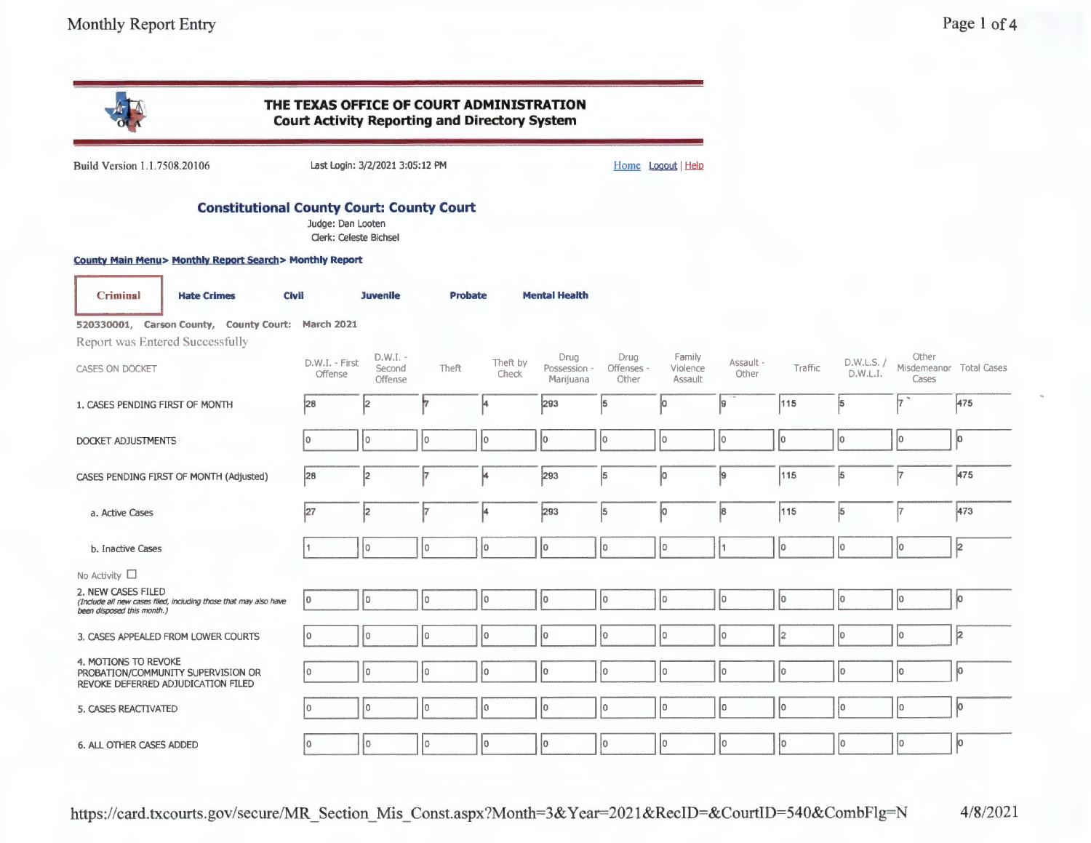|                                                                                                                      | THE TEXAS OFFICE OF COURT ADMINISTRATION<br><b>Court Activity Reporting and Directory System</b> |                                 |                |                   |                                   |                             |                               |                    |         |                        |                                           |     |
|----------------------------------------------------------------------------------------------------------------------|--------------------------------------------------------------------------------------------------|---------------------------------|----------------|-------------------|-----------------------------------|-----------------------------|-------------------------------|--------------------|---------|------------------------|-------------------------------------------|-----|
| Build Version 1.1.7508.20106                                                                                         |                                                                                                  | Last Login: 3/2/2021 3:05:12 PM |                |                   |                                   |                             | Home Logout   Help            |                    |         |                        |                                           |     |
| <b>Constitutional County Court: County Court</b>                                                                     | Judge: Dan Looten<br>Clerk: Celeste Bichsel                                                      |                                 |                |                   |                                   |                             |                               |                    |         |                        |                                           |     |
| <b>County Main Menu&gt; Monthly Report Search&gt; Monthly Report</b>                                                 |                                                                                                  |                                 |                |                   |                                   |                             |                               |                    |         |                        |                                           |     |
| <b>Criminal</b><br><b>Civil</b><br><b>Hate Crimes</b>                                                                |                                                                                                  | <b>Juvenile</b>                 | <b>Probate</b> |                   | <b>Mental Health</b>              |                             |                               |                    |         |                        |                                           |     |
| 520330001, Carson County, County Court: March 2021<br>Report was Entered Successfully                                |                                                                                                  |                                 |                |                   |                                   |                             |                               |                    |         |                        |                                           |     |
| CASES ON DOCKET                                                                                                      | D.W.I. - First<br>Offense                                                                        | $D.W.I. -$<br>Second<br>Offense | Theft          | Theft by<br>Check | Drug<br>Possession ~<br>Marijuana | Drug<br>Offenses -<br>Other | Family<br>Violence<br>Assault | Assault -<br>Other | Traffic | D.W.L.S. /<br>D.W.L.I. | Other<br>Misdemeanor Total Cases<br>Cases |     |
| 1. CASES PENDING FIRST OF MONTH                                                                                      | 28                                                                                               | İ2                              |                |                   | 293                               | 5                           | ю                             | 19                 | 115     | 5                      | I7                                        | 475 |
| DOCKET ADJUSTMENTS                                                                                                   | I٥                                                                                               | I٥                              | ł0.            | lo.               | lo.                               | lo.                         | lо                            | lo.                | lo.     | Įо                     | 10                                        | lo. |
| CASES PENDING FIRST OF MONTH (Adjusted)                                                                              | 28                                                                                               | 2                               |                | 4                 | 293                               | 5                           | 10                            | 9                  | 115     | 5                      | 17                                        | 475 |
| a. Active Cases                                                                                                      | 27                                                                                               | 2                               |                | ļ4                | 293                               | 5                           | o                             | 8                  | 115     | 5                      | 17                                        | 473 |
| b. Inactive Cases                                                                                                    |                                                                                                  | Ì0.                             | I٥             | I٥                | l٥.                               | lo.                         | lo.                           | Ī1.                | lo.     | I٥                     | ļо                                        | 2   |
| No Activity $\square$                                                                                                |                                                                                                  |                                 |                |                   |                                   |                             |                               |                    |         |                        |                                           |     |
| 2. NEW CASES FILED<br>(Include all new cases filed, including those that may also have<br>been disposed this month.) | l0                                                                                               | İ٥                              | I٥             | I٥                | łо                                | I٥                          | Jо                            | 10                 | I٥      | I٥                     | 10                                        | ļо  |
| 3, CASES APPEALED FROM LOWER COURTS                                                                                  | I٥                                                                                               | ١o                              | I٥             | I٥                | lo.                               | ۱o                          | I٥                            | 10                 | 12      | ΙO                     | 10                                        | þ   |
| 4. MOTIONS TO REVOKE<br>PROBATION/COMMUNITY SUPERVISION OR<br>REVOKE DEFERRED ADJUDICATION FILED                     | I٥                                                                                               | I٥                              | 10             | I٥                | I٥                                | lo.                         | lо                            | IО                 | I٥      | lo.                    | Iо                                        | jо  |
| 5, CASES REACTIVATED                                                                                                 | l0                                                                                               | I٥                              | l0             | I٥                | I٥                                | I٥                          | lо                            | lo.                | I٥      | I٥                     | 10                                        | ю   |
| 6. ALL OTHER CASES ADDED                                                                                             | I٥                                                                                               | l0                              | 10             | I٥                | Iо                                | I٥                          | Iо                            | 10                 | lo.     | I٥                     | 10                                        | io. |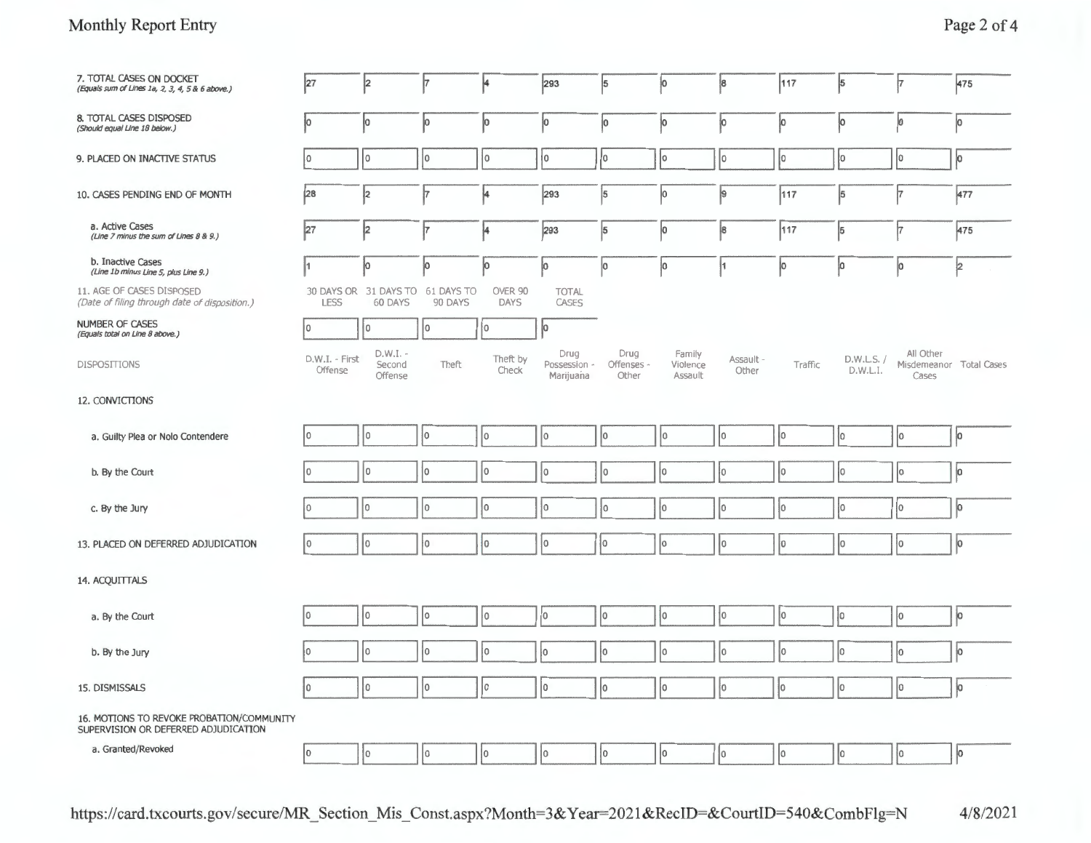# Monthly Report Entry

| 7. TOTAL CASES ON DOCKET<br>(Equals sum of Lines 1a, 2, 3, 4, 5 & 6 above.)       | 27                        | 2                                           | þ.          | 4                 | 293                               | 5                           | 10                            | $\vert$ 8          | 117         | $\vert$ 5              | 17                                            | 475           |
|-----------------------------------------------------------------------------------|---------------------------|---------------------------------------------|-------------|-------------------|-----------------------------------|-----------------------------|-------------------------------|--------------------|-------------|------------------------|-----------------------------------------------|---------------|
| 8. TOTAL CASES DISPOSED<br>(Should equal Line 18 below.)                          | ļо                        | o                                           | p           | þ                 | ļо                                | Įо                          | ļо                            | 0                  | 10          | ļо                     | 10                                            | o             |
| 9. PLACED ON INACTIVE STATUS                                                      | I٥                        | 10                                          | 10          | $ 0\rangle$       | $ 0\rangle$                       | 10                          | 10                            | 0                  | 0           | Įо                     | I٥                                            | $\vert \circ$ |
| 10. CASES PENDING END OF MONTH                                                    | 28                        | 2                                           | ļ7          | 4                 | 293                               | 5                           | 10                            | 9                  | 117         | $\vert 5 \vert$        | Ì7                                            | 477           |
| a. Active Cases<br>(Line 7 minus the sum of Lines 8 & 9.)                         | 27                        | 2                                           | ļ7          | 4                 | 293                               | 5                           | ю                             | 8                  | 117         | $\vert 5 \vert$        | 17                                            | 475           |
| b. Inactive Cases<br>(Line 1b minus Line 5, plus Line 9.)                         | 11                        | 0                                           | þ           | Įо                | ļо                                | 0                           | lо                            | 11                 | 10          | ļО                     | o                                             | 12            |
| 11. AGE OF CASES DISPOSED<br>(Date of filing through date of disposition.)        | <b>LESS</b>               | 30 DAYS OR 31 DAYS TO 61 DAYS TO<br>60 DAYS | 90 DAYS     | OVER 90<br>DAYS   | <b>TOTAL</b><br>CASES             |                             |                               |                    |             |                        |                                               |               |
| <b>NUMBER OF CASES</b><br>(Equals total on Line 8 above.)                         | l o                       | ١o                                          | I٥          | 10                | o                                 |                             |                               |                    |             |                        |                                               |               |
| <b>DISPOSITIONS</b>                                                               | D.W.I. - First<br>Offense | D.W.I. -<br>Second<br>Offense               | Theft       | Theft by<br>Check | Drug<br>Possession -<br>Marijuana | Drug<br>Offenses -<br>Other | Family<br>Violence<br>Assault | Assault -<br>Other | Traffic     | D.W.L.S. /<br>D.W.L.I. | All Other<br>Misdemeanor Total Cases<br>Cases |               |
| 12. CONVICTIONS                                                                   |                           |                                             |             |                   |                                   |                             |                               |                    |             |                        |                                               |               |
| a. Guilty Plea or Nolo Contendere                                                 | 0                         | I٥                                          | łо          | 10                | I٥                                | I٥                          | 10                            | 10                 | 10          | 10                     | I٥                                            | lо            |
| b. By the Court                                                                   | 10                        | I٥                                          | lо          | $ 0\rangle$       | I٥                                | I٥                          | 10                            | 10                 | 10          | 10                     | 10                                            | jо            |
| c. By the Jury                                                                    | İ٥                        | l0                                          | I٥          | ١o                | ١o                                | I٥                          | 10                            | lо                 | 10          | 10                     | lо                                            | ю             |
| 13. PLACED ON DEFERRED ADJUDICATION                                               | I٥                        | I٥                                          | I٥          | 1o                | I٥                                | I٥                          | Iо                            | lо                 | $ 0\rangle$ | Iо                     | 10                                            | þ             |
| 14. ACQUITTALS                                                                    |                           |                                             |             |                   |                                   |                             |                               |                    |             |                        |                                               |               |
| a. By the Court                                                                   | I٥                        | I٥                                          | I٥          | I٥                | lo.                               | lo                          | łо                            | 10                 | lо          | lо                     | 0                                             | ļо            |
| b. By the Jury                                                                    | l٥                        | I٥                                          | lo.         | I٥                | I٥                                | I٥                          | I٥                            | I٥                 | lо          | lo                     | Įо                                            | ю             |
| 15. DISMISSALS                                                                    | I٥                        | ١o                                          | lо          | lo                | lo                                | I٥                          | Iо                            | $ 0\rangle$        | lо          | $ 0\rangle$            | 10                                            | $ 0\rangle$   |
| 16. MOTIONS TO REVOKE PROBATION/COMMUNITY<br>SUPERVISION OR DEFERRED ADJUDICATION |                           |                                             |             |                   |                                   |                             |                               |                    |             |                        |                                               |               |
| a. Granted/Revoked                                                                | lo.                       | 10                                          | $ 0\rangle$ | 10                | 10                                | I٥                          | 0                             | $ 0\rangle$        | 10          | 10                     | 10                                            | ю             |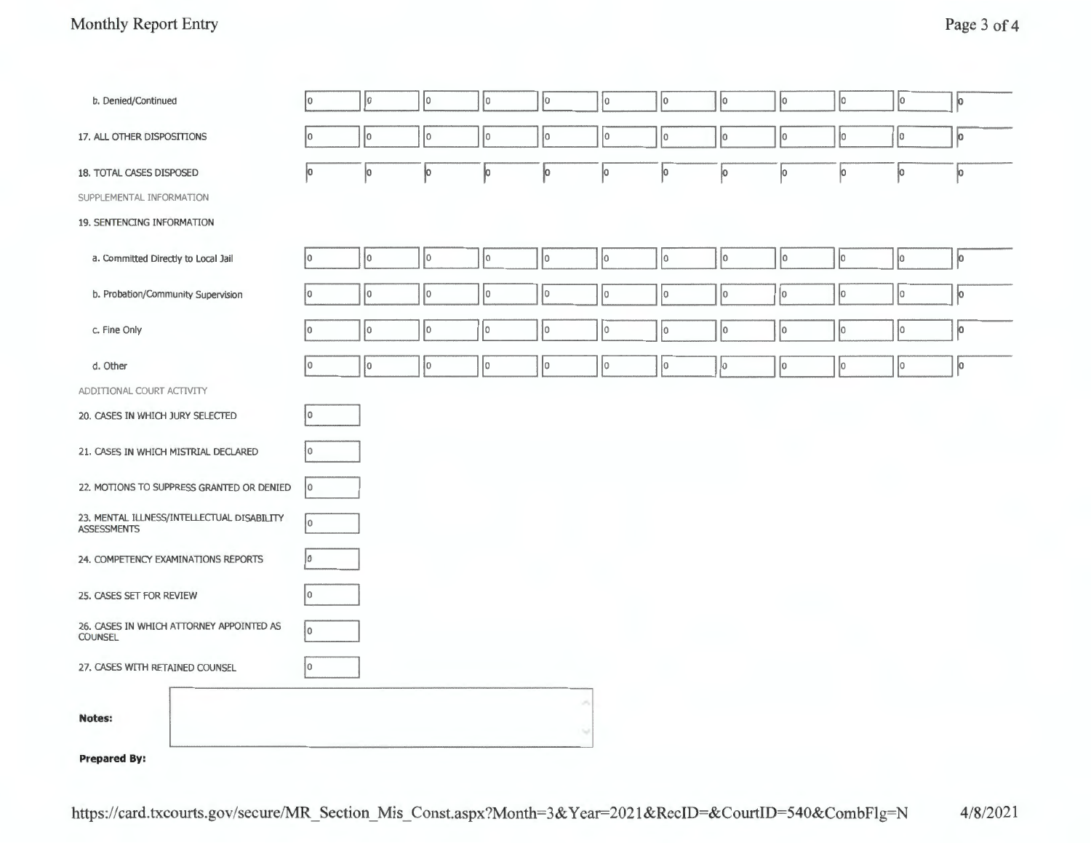# Monthly Report Entry Page 3 of 4

| b. Denied/Continued                                              | I٥ | 0  | 10          | 10          | 0   | 10 | $ 0\rangle$ | lо | o  | 10 | Iо  | $ 0\rangle$ |
|------------------------------------------------------------------|----|----|-------------|-------------|-----|----|-------------|----|----|----|-----|-------------|
| 17. ALL OTHER DISPOSITIONS                                       | I٥ | lо | lo.         | 0           | 0   | 0  | 10          | lо | I٥ | Iо | Iо  | þ           |
| 18. TOTAL CASES DISPOSED                                         | Įо | Jо | ļо          | o           | o   | ļо | 10          | o  | lо | o  | ļо  | ļо          |
| SUPPLEMENTAL INFORMATION                                         |    |    |             |             |     |    |             |    |    |    |     |             |
| 19. SENTENCING INFORMATION                                       |    |    |             |             |     |    |             |    |    |    |     |             |
| a. Committed Directly to Local Jail                              | I٥ | Ιo | $ 0\rangle$ | 10          | 0   | 0  | 0           | 10 | I٥ | lo | ļо  | ю           |
| b. Probation/Community Supervision                               | ł٥ | 10 | 10          | $ 0\rangle$ | I٥  | 10 | 10          | 10 | Įо | 10 | lo. | ļо          |
| c. Fine Only                                                     | ۱n | lо | 10          | $ 0\rangle$ | ١o  | I٥ | 10          | I٥ | 10 | lо | lо  | jо          |
| d. Other                                                         | I٥ | 10 | 10          | $ 0\rangle$ | lo. | lо | 10          | 0  | lо | 10 | lo. | lо          |
| ADDITIONAL COURT ACTIVITY                                        |    |    |             |             |     |    |             |    |    |    |     |             |
| 20. CASES IN WHICH JURY SELECTED                                 | I٥ |    |             |             |     |    |             |    |    |    |     |             |
| 21. CASES IN WHICH MISTRIAL DECLARED                             | ۱O |    |             |             |     |    |             |    |    |    |     |             |
| 22. MOTIONS TO SUPPRESS GRANTED OR DENIED                        | 10 |    |             |             |     |    |             |    |    |    |     |             |
| 23. MENTAL ILLNESS/INTELLECTUAL DISABILITY<br><b>ASSESSMENTS</b> | I٥ |    |             |             |     |    |             |    |    |    |     |             |
| 24. COMPETENCY EXAMINATIONS REPORTS                              | I٥ |    |             |             |     |    |             |    |    |    |     |             |
| 25. CASES SET FOR REVIEW                                         | 0  |    |             |             |     |    |             |    |    |    |     |             |
| 26. CASES IN WHICH ATTORNEY APPOINTED AS<br><b>COUNSEL</b>       | I٥ |    |             |             |     |    |             |    |    |    |     |             |
| 27. CASES WITH RETAINED COUNSEL                                  | 10 |    |             |             |     |    |             |    |    |    |     |             |
| <b>Notes:</b>                                                    |    |    |             |             | ×   |    |             |    |    |    |     |             |

#### **Prepared By:**

https://card.txcourts.gov/secure/MR \_Section\_ Mis\_ Const.aspx?Month=3& Y ear=2021 &RecID=&CourtID=540&CombFlg=N 4/8/2021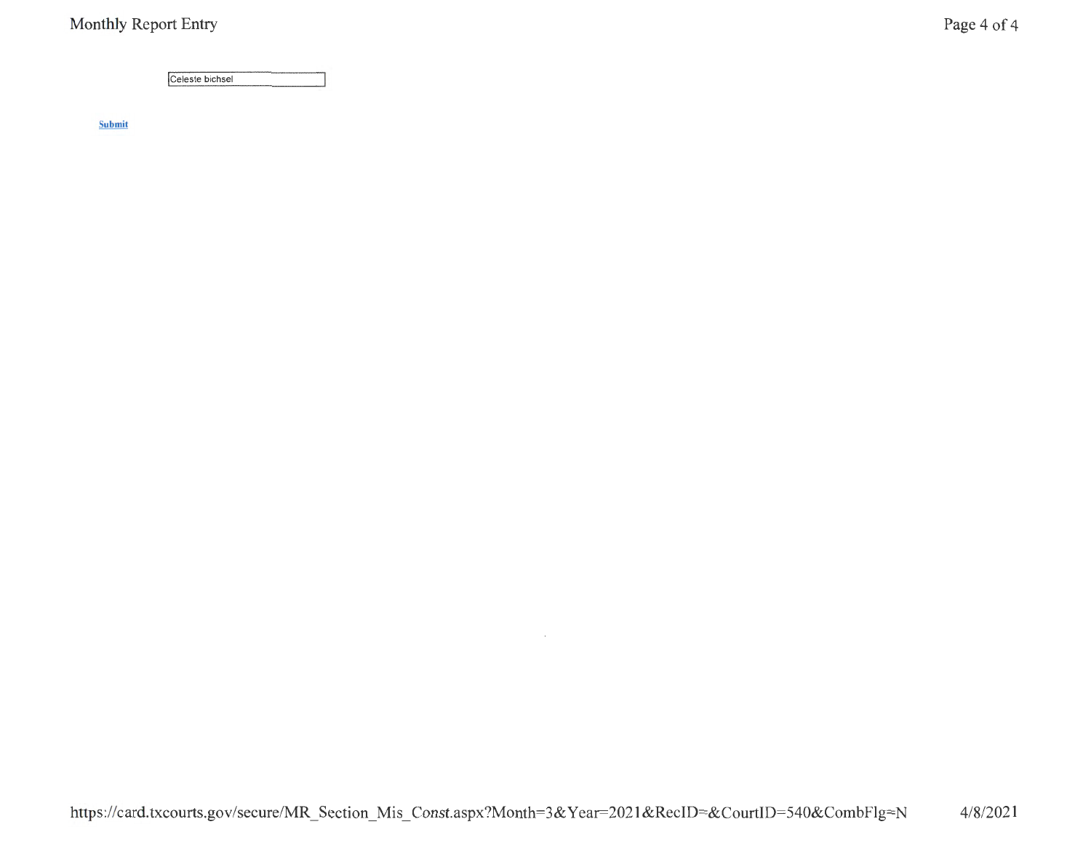Celeste bichsel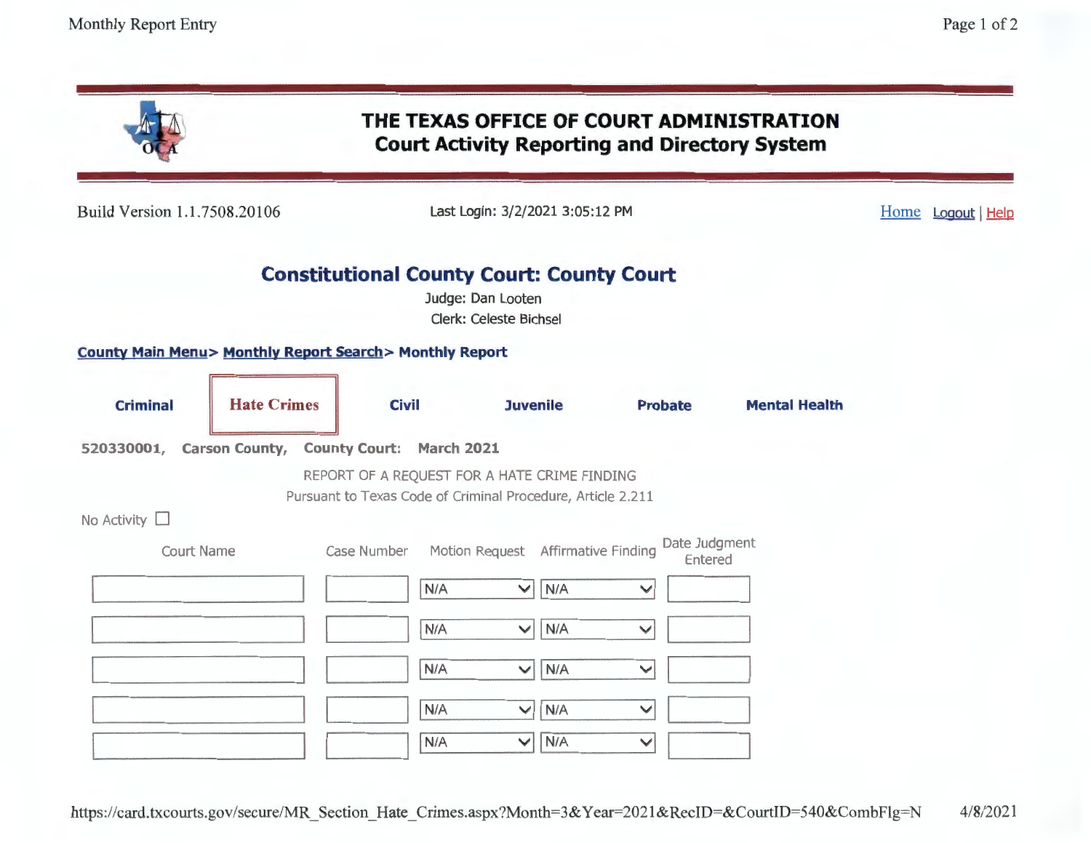|                              |                                                                      |                    | THE TEXAS OFFICE OF COURT ADMINISTRATION<br><b>Court Activity Reporting and Directory System</b>            |                                          |                      |                  |
|------------------------------|----------------------------------------------------------------------|--------------------|-------------------------------------------------------------------------------------------------------------|------------------------------------------|----------------------|------------------|
| Build Version 1.1.7508.20106 |                                                                      |                    | Last Login: 3/2/2021 3:05:12 PM                                                                             |                                          |                      | Home Logout Help |
|                              |                                                                      |                    | <b>Constitutional County Court: County Court</b><br>Judge: Dan Looten<br><b>Clerk: Celeste Bichsel</b>      |                                          |                      |                  |
|                              | <b>County Main Menu&gt; Monthly Report Search&gt; Monthly Report</b> |                    |                                                                                                             |                                          |                      |                  |
| <b>Criminal</b>              | <b>Hate Crimes</b>                                                   | <b>Civil</b>       | <b>Juvenile</b>                                                                                             | <b>Probate</b>                           | <b>Mental Health</b> |                  |
| No Activity [                | 520330001, Carson County, County Court: March 2021                   |                    | REPORT OF A REQUEST FOR A HATE CRIME FINDING<br>Pursuant to Texas Code of Criminal Procedure, Article 2.211 |                                          |                      |                  |
| <b>Court Name</b>            |                                                                      | Case Number<br>N/A | Motion Request Affirmative Finding<br>N/A<br>$\checkmark$                                                   | Date Judgment<br>Entered<br>$\checkmark$ |                      |                  |
|                              |                                                                      | N/A<br>N/A         | N/A<br>$\blacktriangledown$<br>N/A<br>$\checkmark$                                                          | V<br>$\checkmark$                        |                      |                  |
|                              |                                                                      | N/A<br>N/A         | N/A<br>$\checkmark$<br>N/A<br>$\checkmark$                                                                  | $\checkmark$<br>$\checkmark$             |                      |                  |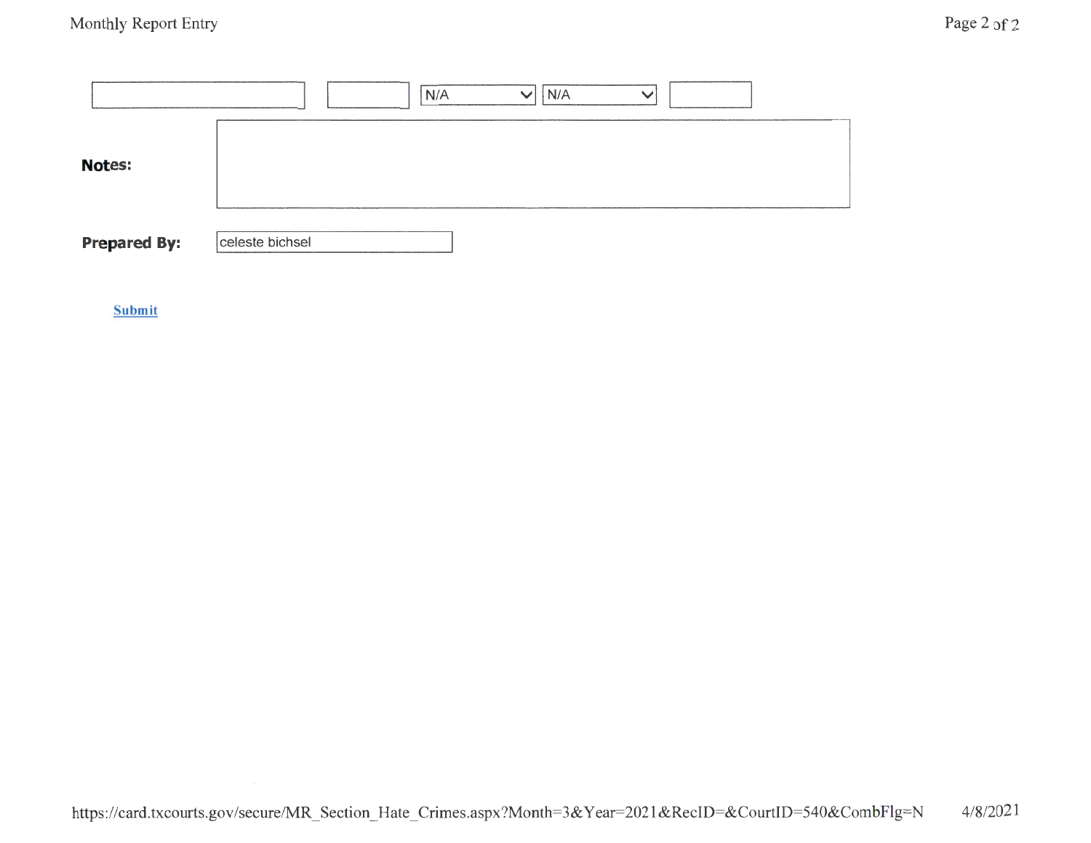|                     | N/A<br>N/A<br>$\checkmark$<br>$\checkmark$ |
|---------------------|--------------------------------------------|
| <b>Notes:</b>       |                                            |
| <b>Prepared By:</b> | celeste bichsel                            |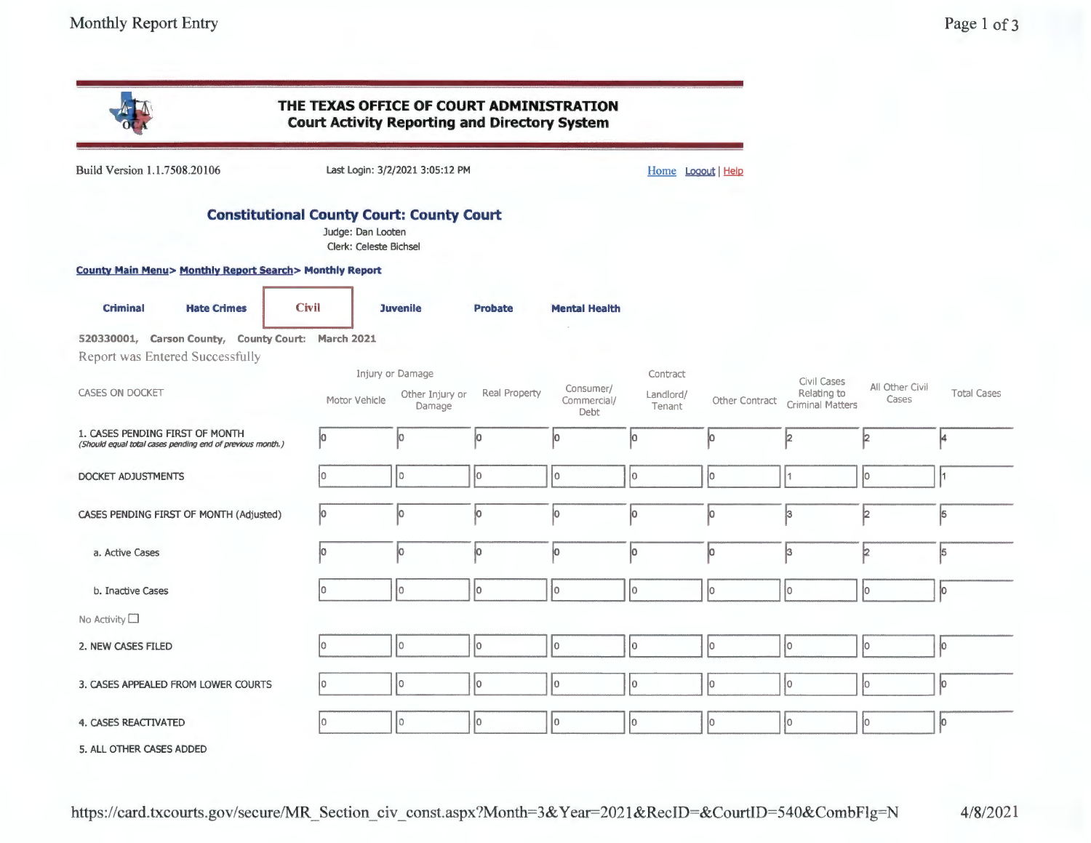|                                                                                              | THE TEXAS OFFICE OF COURT ADMINISTRATION<br><b>Court Activity Reporting and Directory System</b> |                                 |                |                                  |                     |                |                                                       |                          |                    |
|----------------------------------------------------------------------------------------------|--------------------------------------------------------------------------------------------------|---------------------------------|----------------|----------------------------------|---------------------|----------------|-------------------------------------------------------|--------------------------|--------------------|
| Build Version 1.1.7508.20106                                                                 |                                                                                                  | Last Login: 3/2/2021 3:05:12 PM |                |                                  | Home Logout Help    |                |                                                       |                          |                    |
|                                                                                              | <b>Constitutional County Court: County Court</b><br>Judge: Dan Looten<br>Clerk: Celeste Bichsel  |                                 |                |                                  |                     |                |                                                       |                          |                    |
| <b>County Main Menu&gt; Monthly Report Search&gt; Monthly Report</b>                         |                                                                                                  |                                 |                |                                  |                     |                |                                                       |                          |                    |
| <b>Criminal</b><br><b>Hate Crimes</b>                                                        | <b>Civil</b>                                                                                     | <b>Juvenile</b>                 | <b>Probate</b> | <b>Mental Health</b>             |                     |                |                                                       |                          |                    |
| 520330001, Carson County, County Court: March 2021                                           |                                                                                                  |                                 |                |                                  |                     |                |                                                       |                          |                    |
| Report was Entered Successfully                                                              |                                                                                                  | Injury or Damage                |                |                                  | Contract            |                |                                                       |                          |                    |
| <b>CASES ON DOCKET</b>                                                                       | Motor Vehicle                                                                                    | Other Injury or<br>Damage       | Real Property  | Consumer/<br>Commercial/<br>Debt | Landlord/<br>Tenant | Other Contract | Civil Cases<br>Relating to<br><b>Criminal Matters</b> | All Other Civil<br>Cases | <b>Total Cases</b> |
| 1. CASES PENDING FIRST OF MONTH<br>(Should equal total cases pending end of previous month.) | lо                                                                                               | Iо                              | Ю              | lо                               | łо                  | lО             | 12                                                    | l2                       |                    |
| DOCKET ADJUSTMENTS                                                                           | l0.                                                                                              | I٥                              | lo.            | 1o                               | lo.                 | lо             |                                                       | Iо                       |                    |
| CASES PENDING FIRST OF MONTH (Adjusted)                                                      | lo.                                                                                              | 0                               | ļО.            | Įо                               | lo.                 | Įо             | þ.                                                    | þ                        | 5                  |
| a. Active Cases                                                                              | lo.                                                                                              | lo.                             | ю              | łо.                              | lo.                 | lо             | k.                                                    | þ                        | 5                  |
| b. Inactive Cases                                                                            | lo.                                                                                              | I٥                              | lo.            | lo.                              | lo.                 | lо             | ١o                                                    | lo.                      | lo.                |
| No Activity                                                                                  |                                                                                                  |                                 |                |                                  |                     |                |                                                       |                          |                    |
| 2. NEW CASES FILED                                                                           | lo.                                                                                              | I٥                              | lo.            | $\overline{0}$                   | lo.                 | lо             | lo.                                                   | lо                       | lo.                |
| 3. CASES APPEALED FROM LOWER COURTS                                                          | lo.                                                                                              | I٥                              | I٥             | Ιo                               | lo.                 | Iо             | l0                                                    | l∩                       | lo.                |
| 4. CASES REACTIVATED                                                                         | ۱o                                                                                               | I٥                              | I٥             | $ 0\rangle$                      | lo.                 | 10             | l0                                                    | I٥                       | 10                 |
| 5. ALL OTHER CASES ADDED                                                                     |                                                                                                  |                                 |                |                                  |                     |                |                                                       |                          |                    |

https://card. txcourts.gov/secure/MR \_Section\_ civ \_ const.aspx?Month=3& Y ear=2021 &RecID=&CourtID=540&CombFlg=N 4/8/2021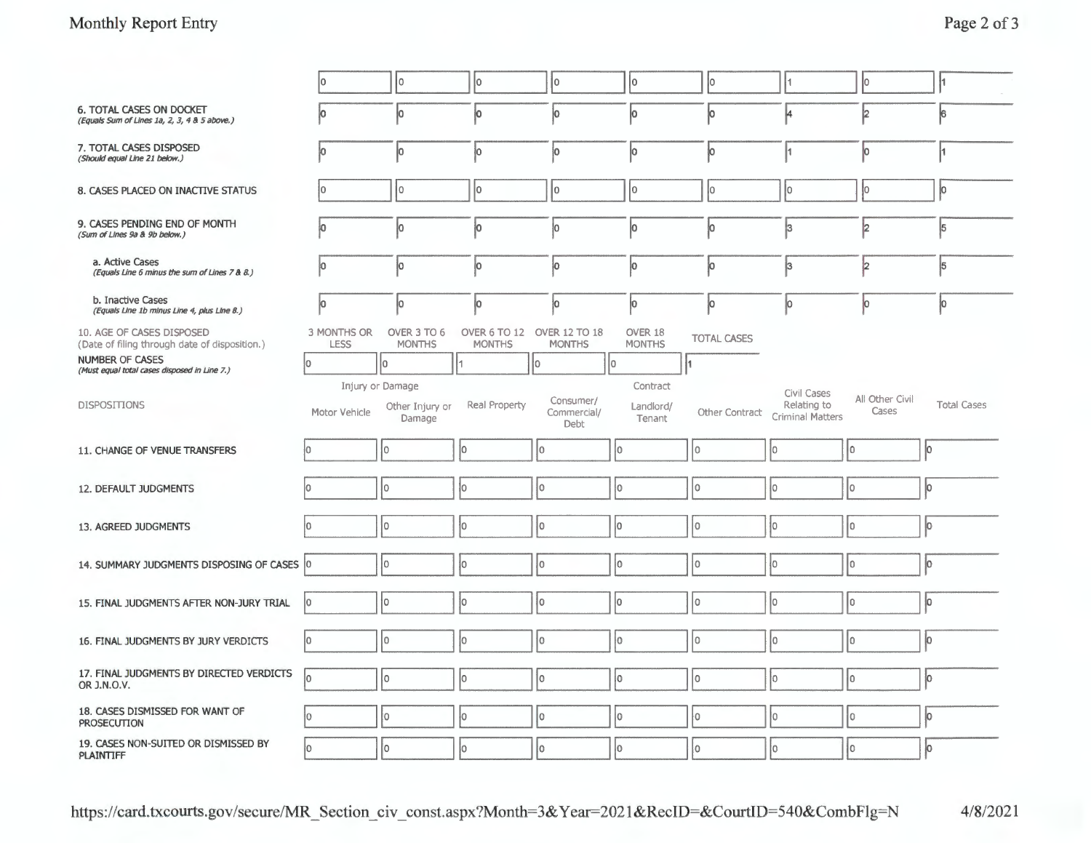### **Monthly Report Entry Page 2 of 3**

|                                                                                 | o                          | I٥                           | l0                                          | 10                               | I٥                       | 10                 |                                 | Iо                       | ł1                 |
|---------------------------------------------------------------------------------|----------------------------|------------------------------|---------------------------------------------|----------------------------------|--------------------------|--------------------|---------------------------------|--------------------------|--------------------|
| <b>6. TOTAL CASES ON DOCKET</b><br>(Equals Sum of Lines 1a, 2, 3, 4 & 5 above.) | 10                         | Ю                            | Įо                                          | Ю                                | lо                       | 10                 | 14                              | 12                       | 6                  |
| 7. TOTAL CASES DISPOSED<br>(Should equal Line 21 below.)                        | l0.                        | lo.                          | Iо                                          | łо                               | lо                       | 10                 |                                 | lо                       | ŀ1                 |
| 8. CASES PLACED ON INACTIVE STATUS                                              |                            | l0                           | I٥                                          | I٥                               | l0                       | IО                 | ۱o                              | łо                       | lo.                |
| 9. CASES PENDING END OF MONTH<br>(Sum of Lines 9a & 9b below.)                  |                            | 10                           | 0                                           | Iо                               | Iо                       | 10                 | 3                               | 12                       | 5                  |
| a. Active Cases<br>(Equals Line 6 minus the sum of Lines 7 & 8.)                | 10                         | ĮО                           | 10                                          | ļО                               | Įо                       | ļО                 | 13                              | 2                        | 5                  |
| b. Inactive Cases<br>(Equals Line 1b minus Line 4, plus Line 8.)                | 0                          | 10                           | ю                                           | 10                               | ĮО                       | 10                 | 10                              | 10                       | Įо                 |
| 10. AGE OF CASES DISPOSED<br>(Date of filing through date of disposition.)      | 3 MONTHS OR<br><b>LESS</b> | OVER 3 TO 6<br><b>MONTHS</b> | OVER 6 TO 12 OVER 12 TO 18<br><b>MONTHS</b> | <b>MONTHS</b>                    | OVER 18<br><b>MONTHS</b> | <b>TOTAL CASES</b> |                                 |                          |                    |
| <b>NUMBER OF CASES</b><br>(Must equal total cases disposed in Line 7.)          | lo.<br>Injury or Damage    | lo.                          | I1                                          | I٥                               | 10<br>Contract           | I1                 | Civil Cases                     |                          |                    |
| <b>DISPOSITIONS</b>                                                             | Motor Vehicle              | Other Injury or<br>Damage    | Real Property                               | Consumer/<br>Commercial/<br>Debt | Landlord/<br>Tenant      | Other Contract     | Relating to<br>Criminal Matters | All Other Civil<br>Cases | <b>Total Cases</b> |
| 11. CHANGE OF VENUE TRANSFERS                                                   | l0.                        | lo                           | lo.                                         | lo.                              | Iо                       | lo.                | łо                              | O.                       | jо                 |
| 12. DEFAULT JUDGMENTS                                                           | n                          | l٥                           | lo.                                         | I٥                               | Iо                       | ١o                 | łо                              | I٥                       | lо                 |
| 13. AGREED JUDGMENTS                                                            | l٥                         | I٥                           | lo                                          | I٥                               | ١o                       | I٥                 | 10                              | O                        | lo.                |
| 14. SUMMARY JUDGMENTS DISPOSING OF CASES 0                                      |                            | lo                           | ١o                                          | I٥                               | Iо                       | l٥                 | łО                              | I٥                       | İо                 |
| 15. FINAL JUDGMENTS AFTER NON-JURY TRIAL                                        | 10                         | ١o                           | I٥                                          | I٥                               | lо                       | lo                 | 10                              | I٥                       | ļо                 |
| 16. FINAL JUDGMENTS BY JURY VERDICTS                                            | lо                         | I٥                           | 10                                          | I٥                               | 10                       | I٥                 | 10                              | I٥                       | lо                 |
| 17. FINAL JUDGMENTS BY DIRECTED VERDICTS<br>OR J.N.O.V.                         | lo.                        | I٥                           | I٥                                          | I٥                               | 10                       | I٥                 | 10                              | I٥                       | lo.                |
| 18. CASES DISMISSED FOR WANT OF<br>PROSECUTION                                  | łо                         | Ιo                           | lo.                                         | I٥                               | ÌО                       | I٥                 | lo.                             | lo.                      | lo.                |
| 19. CASES NON-SUITED OR DISMISSED BY<br><b>PLAINTIFF</b>                        | lo.                        | 10                           | łо                                          | ١o                               | Iо                       | l0                 | 10                              | lo.                      | lo.                |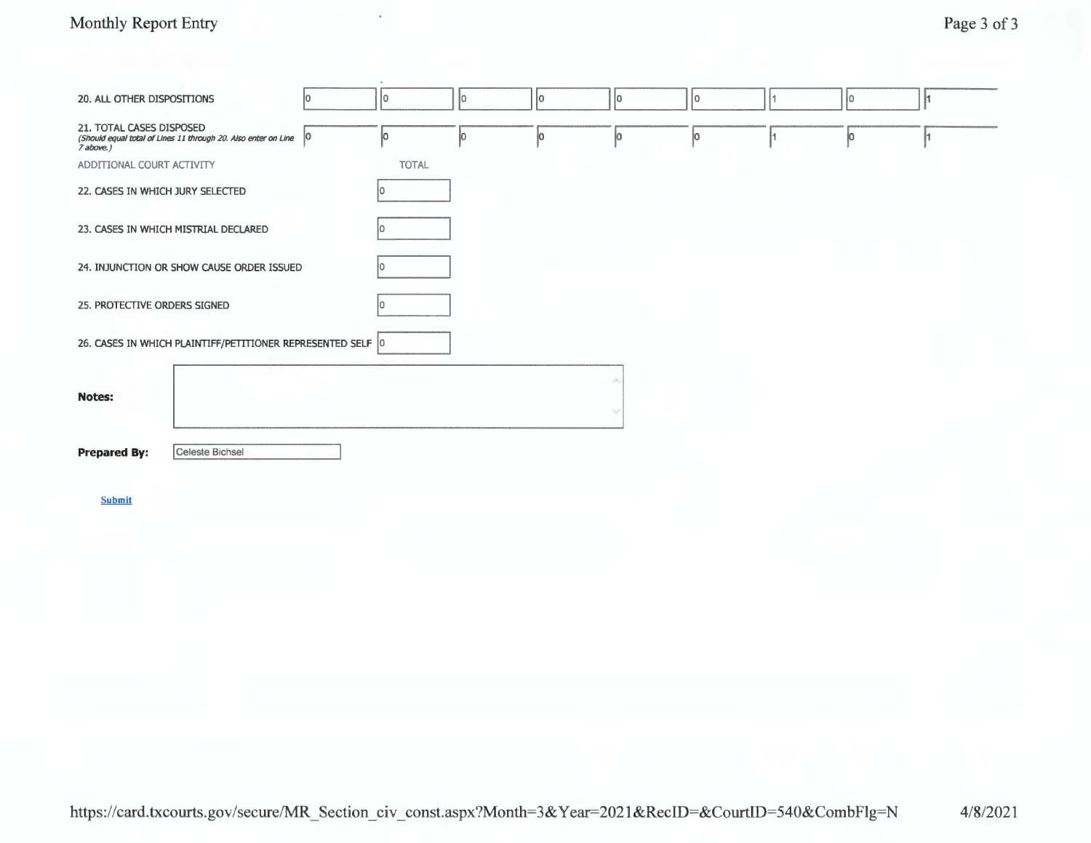# Monthly Report Entry Page 3 of 3

| 20. ALL OTHER DISPOSITIONS                                                                              | I0 | I٥           | I٥  | jо | lo. | lo. |    | Iо  | I1 |
|---------------------------------------------------------------------------------------------------------|----|--------------|-----|----|-----|-----|----|-----|----|
| 21. TOTAL CASES DISPOSED<br>(Should equal total of Lines 11 through 20. Also enter on Line<br>7 above.) | 0  | ļо           | jо. | ļо | lo. | lo. | I1 | lo. | h. |
| ADDITIONAL COURT ACTIVITY                                                                               |    | <b>TOTAL</b> |     |    |     |     |    |     |    |
| 22. CASES IN WHICH JURY SELECTED                                                                        |    | I٥           |     |    |     |     |    |     |    |
| 23. CASES IN WHICH MISTRIAL DECLARED                                                                    |    |              |     |    |     |     |    |     |    |
| 24. INJUNCTION OR SHOW CAUSE ORDER ISSUED                                                               |    | In.          |     |    |     |     |    |     |    |
| 25. PROTECTIVE ORDERS SIGNED                                                                            |    | I٥           |     |    |     |     |    |     |    |
| 26. CASES IN WHICH PLAINTIFF/PETITIONER REPRESENTED SELF 0                                              |    |              |     |    |     |     |    |     |    |
| <b>Notes:</b>                                                                                           |    |              |     |    |     |     |    |     |    |
| Celeste Bichsel<br><b>Prepared By:</b>                                                                  |    |              |     |    |     |     |    |     |    |
| <b>Submit</b>                                                                                           |    |              |     |    |     |     |    |     |    |
|                                                                                                         |    |              |     |    |     |     |    |     |    |
|                                                                                                         |    |              |     |    |     |     |    |     |    |
|                                                                                                         |    |              |     |    |     |     |    |     |    |
|                                                                                                         |    |              |     |    |     |     |    |     |    |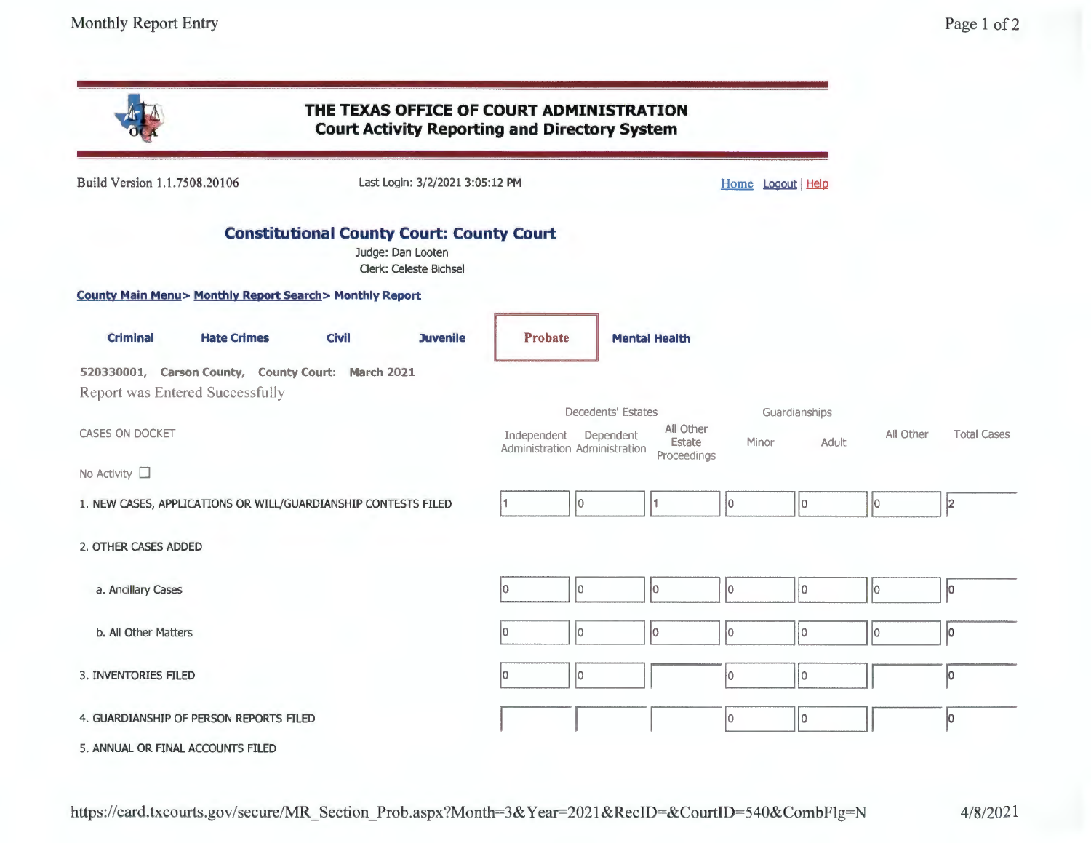|                              |                                                                                              |              |                                                                                                 | THE TEXAS OFFICE OF COURT ADMINISTRATION<br><b>Court Activity Reporting and Directory System</b> |                    |                                    |                    |                        |           |                    |
|------------------------------|----------------------------------------------------------------------------------------------|--------------|-------------------------------------------------------------------------------------------------|--------------------------------------------------------------------------------------------------|--------------------|------------------------------------|--------------------|------------------------|-----------|--------------------|
| Build Version 1.1.7508.20106 |                                                                                              |              | Last Login: 3/2/2021 3:05:12 PM                                                                 |                                                                                                  |                    |                                    | Home Logout   Help |                        |           |                    |
|                              |                                                                                              |              | <b>Constitutional County Court: County Court</b><br>Judge: Dan Looten<br>Clerk: Celeste Bichsel |                                                                                                  |                    |                                    |                    |                        |           |                    |
|                              | <b>County Main Menu&gt; Monthly Report Search&gt; Monthly Report</b>                         |              |                                                                                                 |                                                                                                  |                    |                                    |                    |                        |           |                    |
| <b>Criminal</b>              | <b>Hate Crimes</b>                                                                           | <b>Civil</b> | <b>Juvenile</b>                                                                                 | <b>Probate</b>                                                                                   |                    | <b>Mental Health</b>               |                    |                        |           |                    |
|                              | 520330001, Carson County, County Court: March 2021<br><b>Report was Entered Successfully</b> |              |                                                                                                 |                                                                                                  |                    |                                    |                    |                        |           |                    |
| <b>CASES ON DOCKET</b>       |                                                                                              |              |                                                                                                 | Independent Dependent<br>Administration Administration                                           | Decedents' Estates | All Other<br>Estate<br>Proceedings | Minor              | Guardianships<br>Adult | All Other | <b>Total Cases</b> |
| No Activity $\square$        |                                                                                              |              |                                                                                                 |                                                                                                  |                    |                                    |                    |                        |           |                    |
|                              | 1. NEW CASES, APPLICATIONS OR WILL/GUARDIANSHIP CONTESTS FILED                               |              |                                                                                                 |                                                                                                  | I٥                 | 1                                  | 10                 | lo.                    | lo.       | 2                  |
| 2. OTHER CASES ADDED         |                                                                                              |              |                                                                                                 |                                                                                                  |                    |                                    |                    |                        |           |                    |
| a. Ancillary Cases           |                                                                                              |              |                                                                                                 | lo.<br>lo.                                                                                       |                    | lo.                                | I٥                 | $ 0\rangle$            | lo.       | lо                 |
| b. All Other Matters         |                                                                                              |              |                                                                                                 | lo                                                                                               |                    | l0                                 | l0                 | $ 0\rangle$            | lo        | 10                 |
| 3. INVENTORIES FILED         |                                                                                              |              |                                                                                                 | I٥<br>l0                                                                                         |                    |                                    | I٥                 | $\vert$ o              |           | lo.                |
|                              | 4. GUARDIANSHIP OF PERSON REPORTS FILED                                                      |              |                                                                                                 |                                                                                                  |                    |                                    | O                  | I٥                     |           | lo.                |
|                              | 5. ANNUAL OR FINAL ACCOUNTS FILED                                                            |              |                                                                                                 |                                                                                                  |                    |                                    |                    |                        |           |                    |

 $4/8/2021$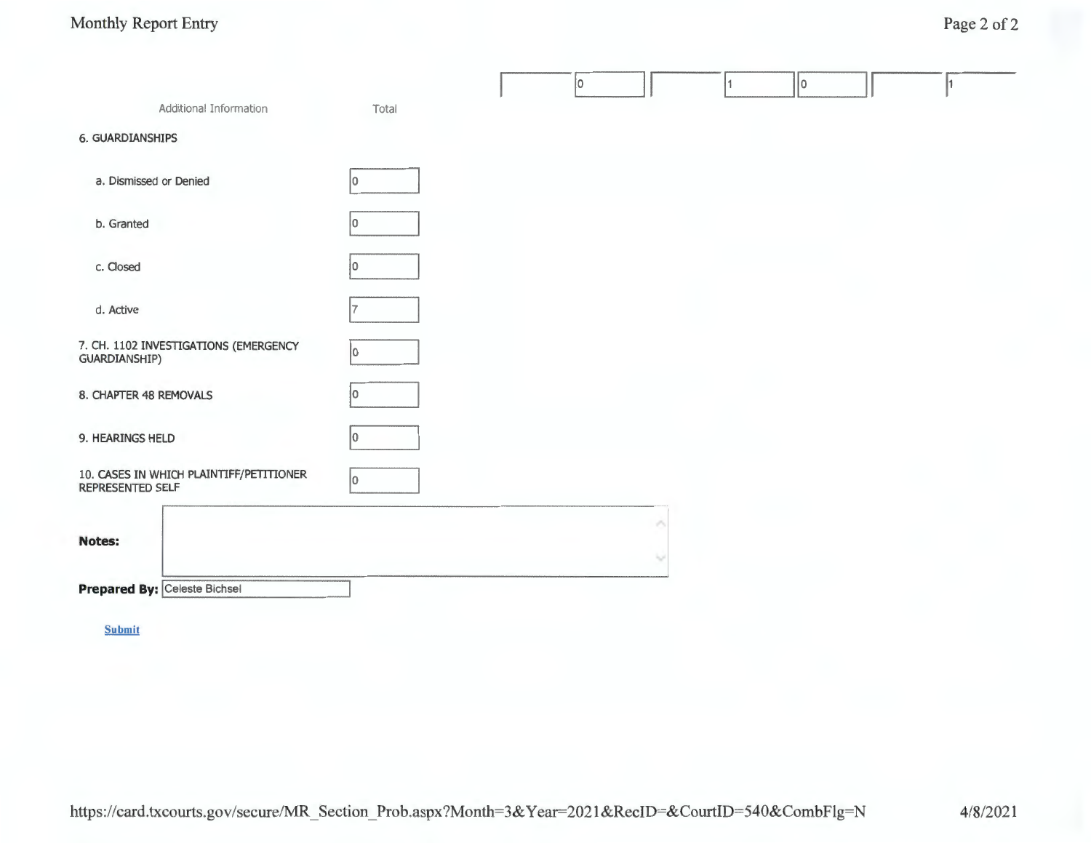# Monthly Report Entry Page 2 of 2

|                                                             |       | 10 |  | 10 |  |
|-------------------------------------------------------------|-------|----|--|----|--|
| Additional Information                                      | Total |    |  |    |  |
| <b>6. GUARDIANSHIPS</b>                                     |       |    |  |    |  |
| a. Dismissed or Denied                                      |       |    |  |    |  |
| b. Granted                                                  |       |    |  |    |  |
| c. Closed                                                   |       |    |  |    |  |
| d. Active                                                   |       |    |  |    |  |
| 7. CH. 1102 INVESTIGATIONS (EMERGENCY<br>GUARDIANSHIP)      |       |    |  |    |  |
| 8. CHAPTER 48 REMOVALS                                      |       |    |  |    |  |
| 9. HEARINGS HELD                                            | 10    |    |  |    |  |
| 10. CASES IN WHICH PLAINTIFF/PETITIONER<br>REPRESENTED SELF | lo.   |    |  |    |  |
| <b>Notes:</b>                                               |       |    |  |    |  |
|                                                             |       |    |  |    |  |
| Prepared By: Celeste Bichsel                                |       |    |  |    |  |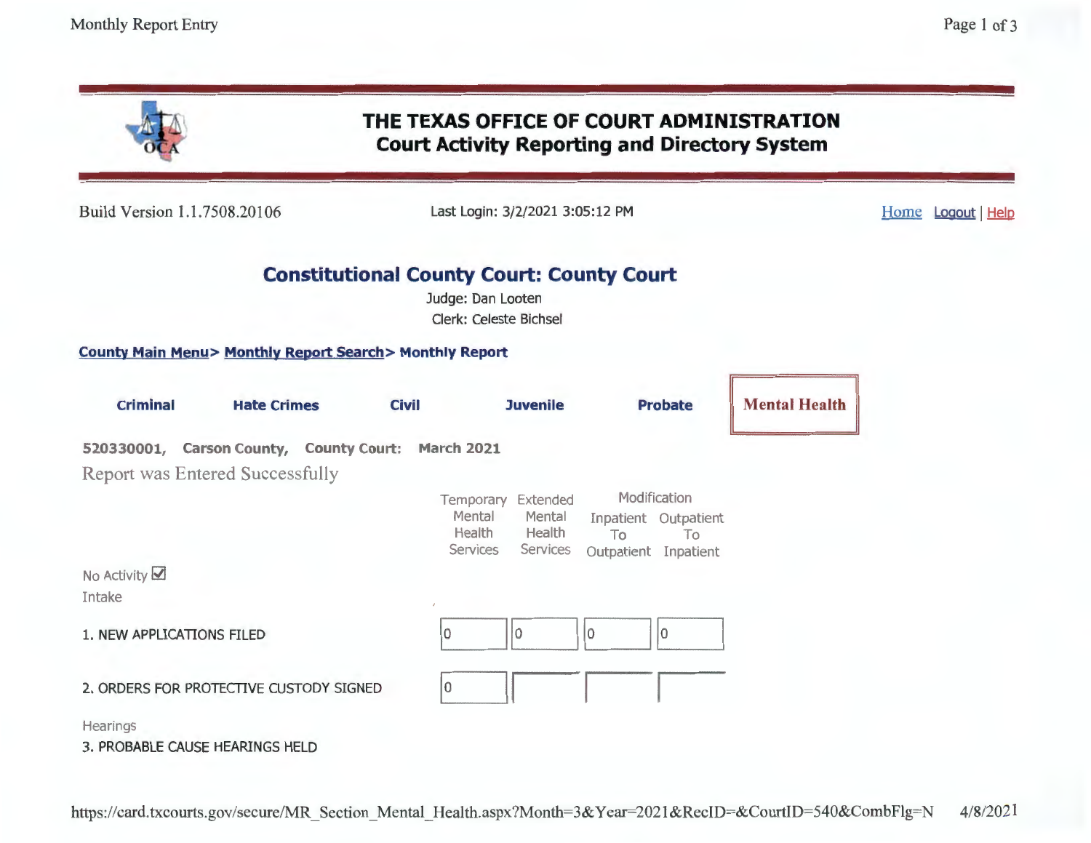| THE TEXAS OFFICE OF COURT ADMINISTRATION<br><b>Court Activity Reporting and Directory System</b> |                                                       |                                                                                                        |                                                                      |                      |  |  |  |  |  |
|--------------------------------------------------------------------------------------------------|-------------------------------------------------------|--------------------------------------------------------------------------------------------------------|----------------------------------------------------------------------|----------------------|--|--|--|--|--|
| Build Version 1.1.7508.20106                                                                     | Last Login: 3/2/2021 3:05:12 PM<br>Home Logout   Help |                                                                                                        |                                                                      |                      |  |  |  |  |  |
|                                                                                                  |                                                       | <b>Constitutional County Court: County Court</b><br>Judge: Dan Looten<br><b>Clerk: Celeste Bichsel</b> |                                                                      |                      |  |  |  |  |  |
| <b>County Main Menu&gt; Monthly Report Search&gt; Monthly Report</b>                             |                                                       |                                                                                                        |                                                                      |                      |  |  |  |  |  |
| <b>Criminal</b><br><b>Hate Crimes</b>                                                            | <b>Civil</b>                                          | <b>Juvenile</b>                                                                                        | <b>Probate</b>                                                       | <b>Mental Health</b> |  |  |  |  |  |
| 520330001, Carson County, County Court: March 2021<br><b>Report was Entered Successfully</b>     |                                                       | Temporary Extended                                                                                     | Modification                                                         |                      |  |  |  |  |  |
|                                                                                                  |                                                       | Mental<br>Mental<br>Health<br>Health<br>Services<br>Services                                           | Inpatient Outpatient<br>T <sub>o</sub><br>To<br>Outpatient Inpatient |                      |  |  |  |  |  |
| No Activity $\boxtimes$<br>Intake                                                                |                                                       |                                                                                                        |                                                                      |                      |  |  |  |  |  |
| 1. NEW APPLICATIONS FILED                                                                        | 10                                                    | 10<br>10                                                                                               | 0                                                                    |                      |  |  |  |  |  |
| 2. ORDERS FOR PROTECTIVE CUSTODY SIGNED                                                          | 10                                                    |                                                                                                        |                                                                      |                      |  |  |  |  |  |
| Hearings<br>3. PROBABLE CAUSE HEARINGS HELD                                                      |                                                       |                                                                                                        |                                                                      |                      |  |  |  |  |  |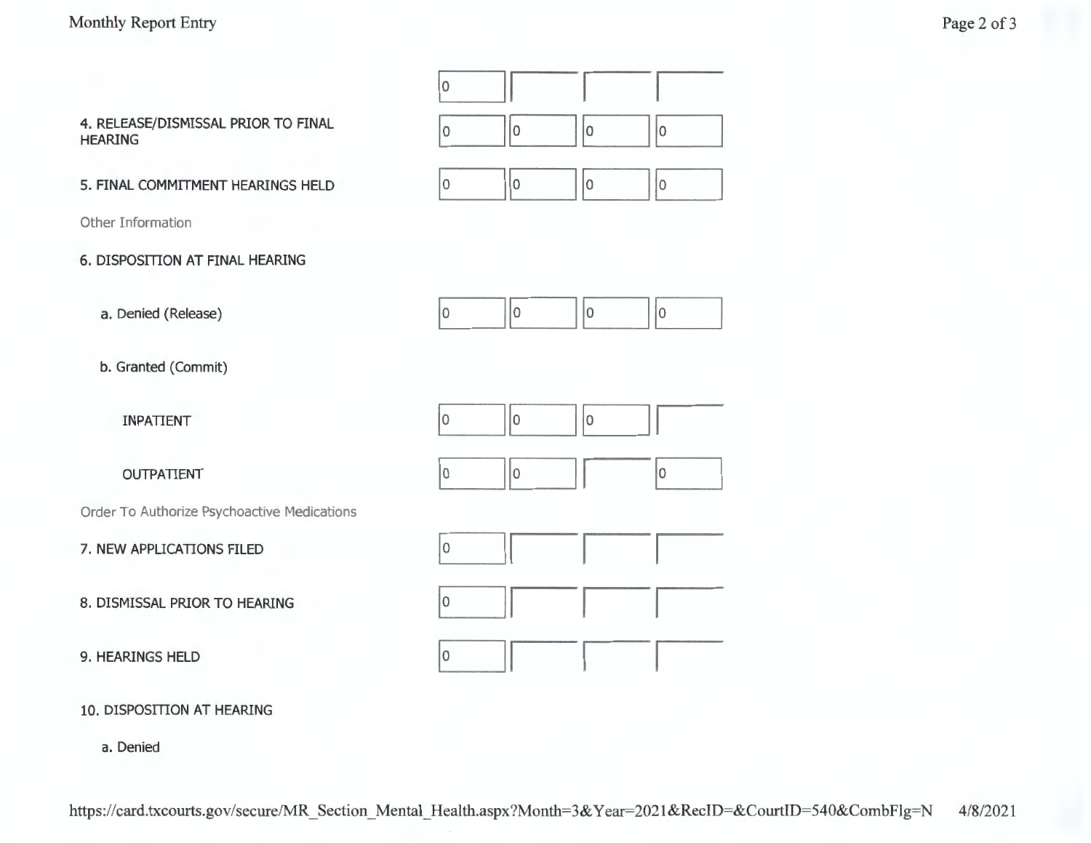

**10. DISPOSffiON AT HEARING** 

a. Denied